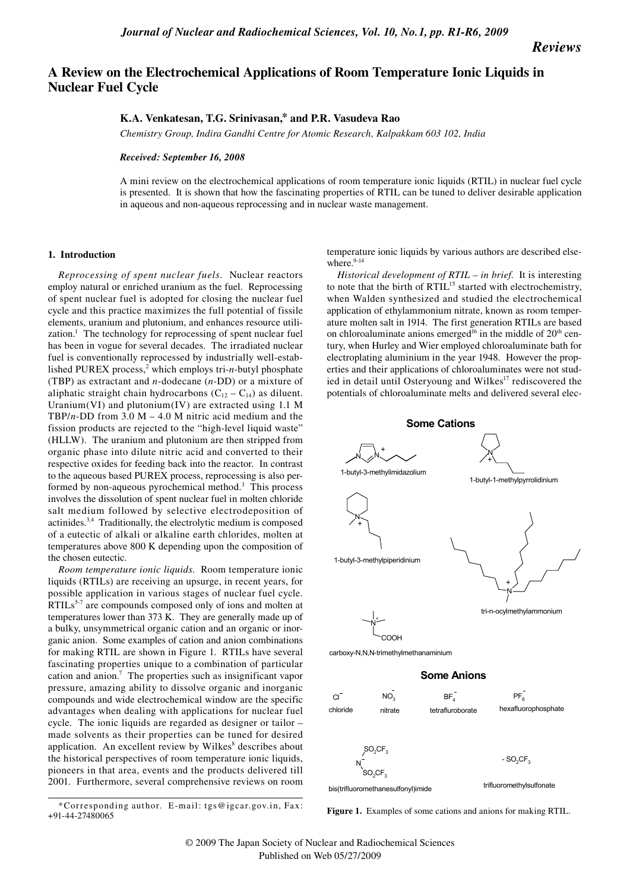*Reviews*

# **A Review on the Electrochemical Applications of Room Temperature Ionic Liquids in Nuclear Fuel Cycle**

## **K.A. Venkatesan, T.G. Srinivasan,\* and P.R. Vasudeva Rao**

*Chemistry Group, Indira Gandhi Centre for Atomic Research, Kalpakkam 603 102, India*

## *Received: September 16, 2008*

A mini review on the electrochemical applications of room temperature ionic liquids (RTIL) in nuclear fuel cycle is presented. It is shown that how the fascinating properties of RTIL can be tuned to deliver desirable application in aqueous and non-aqueous reprocessing and in nuclear waste management.

## **1. Introduction**

*Reprocessing of spent nuclear fuels*. Nuclear reactors employ natural or enriched uranium as the fuel. Reprocessing of spent nuclear fuel is adopted for closing the nuclear fuel cycle and this practice maximizes the full potential of fissile elements, uranium and plutonium, and enhances resource utilization.<sup>1</sup> The technology for reprocessing of spent nuclear fuel has been in vogue for several decades. The irradiated nuclear fuel is conventionally reprocessed by industrially well-established PUREX process,<sup>2</sup> which employs tri-*n*-butyl phosphate (TBP) as extractant and *n*-dodecane (*n*-DD) or a mixture of aliphatic straight chain hydrocarbons  $(C_{12} - C_{14})$  as diluent. Uranium(VI) and plutonium(IV) are extracted using  $1.1 \text{ M}$ TBP/*n*-DD from 3.0 M – 4.0 M nitric acid medium and the fission products are rejected to the "high-level liquid waste" (HLLW). The uranium and plutonium are then stripped from organic phase into dilute nitric acid and converted to their respective oxides for feeding back into the reactor. In contrast to the aqueous based PUREX process, reprocessing is also performed by non-aqueous pyrochemical method.<sup>3</sup> This process involves the dissolution of spent nuclear fuel in molten chloride salt medium followed by selective electrodeposition of actinides.3,4 Traditionally, the electrolytic medium is composed of a eutectic of alkali or alkaline earth chlorides, molten at temperatures above 800 K depending upon the composition of the chosen eutectic.

*Room temperature ionic liquids*. Room temperature ionic liquids (RTILs) are receiving an upsurge, in recent years, for possible application in various stages of nuclear fuel cycle. RTILs<sup>5-7</sup> are compounds composed only of ions and molten at temperatures lower than 373 K. They are generally made up of a bulky, unsymmetrical organic cation and an organic or inorganic anion. Some examples of cation and anion combinations for making RTIL are shown in Figure 1. RTILs have several fascinating properties unique to a combination of particular cation and anion.<sup>7</sup> The properties such as insignificant vapor pressure, amazing ability to dissolve organic and inorganic compounds and wide electrochemical window are the specific advantages when dealing with applications for nuclear fuel cycle. The ionic liquids are regarded as designer or tailor – made solvents as their properties can be tuned for desired application. An excellent review by Wilkes<sup>8</sup> describes about the historical perspectives of room temperature ionic liquids, pioneers in that area, events and the products delivered till 2001. Furthermore, several comprehensive reviews on room temperature ionic liquids by various authors are described elsewhere.<sup>9-14</sup>

*Historical development of RTIL – in brief*. It is interesting to note that the birth of RTIL<sup>15</sup> started with electrochemistry, when Walden synthesized and studied the electrochemical application of ethylammonium nitrate, known as room temperature molten salt in 1914. The first generation RTILs are based on chloroaluminate anions emerged<sup>16</sup> in the middle of  $20<sup>th</sup>$  century, when Hurley and Wier employed chloroaluminate bath for electroplating aluminium in the year 1948. However the properties and their applications of chloroaluminates were not studied in detail until Osteryoung and Wilkes<sup>17</sup> rediscovered the potentials of chloroaluminate melts and delivered several elec-



carboxy-N,N,N-trimethylmethanaminium

## **Some Anions**





<sup>\*</sup>Corresponding author. E-mail: tgs@igcar.gov.in, Fax:<br>1.44.27480065 +91-44-27480065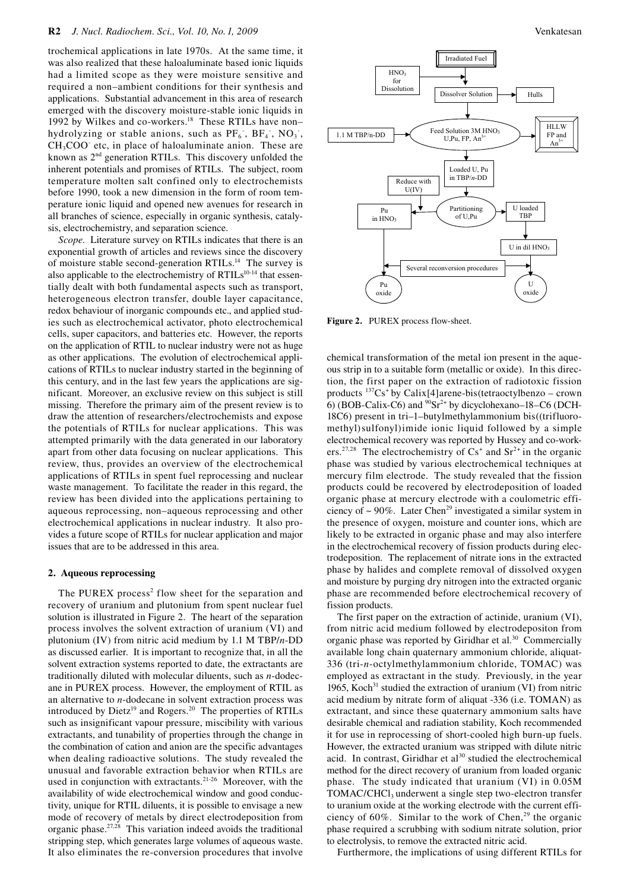trochemical applications in late 1970s. At the same time, it was also realized that these haloaluminate based ionic liquids had a limited scope as they were moisture sensitive and required a non–ambient conditions for their synthesis and applications. Substantial advancement in this area of research emerged with the discovery moisture-stable ionic liquids in 1992 by Wilkes and co-workers.<sup>18</sup> These RTILs have non– hydrolyzing or stable anions, such as  $PF_6$ ,  $BF_4$ ,  $NO_3$ ,  $CH<sub>3</sub>COO$  etc, in place of haloaluminate anion. These are known as 2nd generation RTILs. This discovery unfolded the inherent potentials and promises of RTILs. The subject, room temperature molten salt confined only to electrochemists before 1990, took a new dimension in the form of room temperature ionic liquid and opened new avenues for research in all branches of science, especially in organic synthesis, catalysis, electrochemistry, and separation science.

*Scope*. Literature survey on RTILs indicates that there is an exponential growth of articles and reviews since the discovery of moisture stable second-generation RTILs.<sup>14</sup> The survey is also applicable to the electrochemistry of RTILs<sup>10-14</sup> that essentially dealt with both fundamental aspects such as transport, heterogeneous electron transfer, double layer capacitance, redox behaviour of inorganic compounds etc., and applied studies such as electrochemical activator, photo electrochemical cells, super capacitors, and batteries etc. However, the reports on the application of RTIL to nuclear industry were not as huge as other applications. The evolution of electrochemical applications of RTILs to nuclear industry started in the beginning of this century, and in the last few years the applications are significant. Moreover, an exclusive review on this subject is still missing. Therefore the primary aim of the present review is to draw the attention of researchers/electrochemists and expose the potentials of RTILs for nuclear applications. This was attempted primarily with the data generated in our laboratory apart from other data focusing on nuclear applications. This review, thus, provides an overview of the electrochemical applications of RTILs in spent fuel reprocessing and nuclear waste management. To facilitate the reader in this regard, the review has been divided into the applications pertaining to aqueous reprocessing, non–aqueous reprocessing and other electrochemical applications in nuclear industry. It also provides a future scope of RTILs for nuclear application and major issues that are to be addressed in this area.

## **2. Aqueous reprocessing**

The PUREX process<sup>2</sup> flow sheet for the separation and recovery of uranium and plutonium from spent nuclear fuel solution is illustrated in Figure 2. The heart of the separation process involves the solvent extraction of uranium (VI) and plutonium (IV) from nitric acid medium by 1.1 M TBP/*n*-DD as discussed earlier. It is important to recognize that, in all the solvent extraction systems reported to date, the extractants are traditionally diluted with molecular diluents, such as *n*-dodecane in PUREX process. However, the employment of RTIL as an alternative to *n*-dodecane in solvent extraction process was introduced by Dietz<sup>19</sup> and Rogers.<sup>20</sup> The properties of RTILs such as insignificant vapour pressure, miscibility with various extractants, and tunability of properties through the change in the combination of cation and anion are the specific advantages when dealing radioactive solutions. The study revealed the unusual and favorable extraction behavior when RTILs are used in conjunction with extractants.<sup>21-26</sup> Moreover, with the availability of wide electrochemical window and good conductivity, unique for RTIL diluents, it is possible to envisage a new mode of recovery of metals by direct electrodeposition from organic phase.27,28 This variation indeed avoids the traditional stripping step, which generates large volumes of aqueous waste. It also eliminates the re-conversion procedures that involve



**Figure 2.** PUREX process flow-sheet.

chemical transformation of the metal ion present in the aqueous strip in to a suitable form (metallic or oxide). In this direction, the first paper on the extraction of radiotoxic fission products 137Cs+ by Calix[4]arene-bis(tetraoctylbenzo – crown 6) (BOB-Calix-C6) and  $^{90}Sr^{2+}$  by dicyclohexano–18–C6 (DCH-18C6) present in tri–1–butylmethylammonium bis((trifluoromethyl)sulfonyl)imide ionic liquid followed by a simple electrochemical recovery was reported by Hussey and co-workers.<sup>27,28</sup> The electrochemistry of  $Cs<sup>+</sup>$  and  $Sr<sup>2+</sup>$  in the organic phase was studied by various electrochemical techniques at mercury film electrode. The study revealed that the fission products could be recovered by electrodeposition of loaded organic phase at mercury electrode with a coulometric efficiency of  $\sim$  90%. Later Chen<sup>29</sup> investigated a similar system in the presence of oxygen, moisture and counter ions, which are likely to be extracted in organic phase and may also interfere in the electrochemical recovery of fission products during electrodeposition. The replacement of nitrate ions in the extracted phase by halides and complete removal of dissolved oxygen and moisture by purging dry nitrogen into the extracted organic phase are recommended before electrochemical recovery of fission products.

The first paper on the extraction of actinide, uranium (VI), from nitric acid medium followed by electrodepositon from organic phase was reported by Giridhar et al.<sup>30</sup> Commercially available long chain quaternary ammonium chloride, aliquat-336 (tri-*n*-octylmethylammonium chloride, TOMAC) was employed as extractant in the study. Previously, in the year 1965, Koch<sup>31</sup> studied the extraction of uranium (VI) from nitric acid medium by nitrate form of aliquat -336 (i.e. TOMAN) as extractant, and since these quaternary ammonium salts have desirable chemical and radiation stability, Koch recommended it for use in reprocessing of short-cooled high burn-up fuels. However, the extracted uranium was stripped with dilute nitric acid. In contrast, Giridhar et al $30$  studied the electrochemical method for the direct recovery of uranium from loaded organic phase. The study indicated that uranium (VI) in 0.05M TOMAC/CHCl<sub>3</sub> underwent a single step two-electron transfer to uranium oxide at the working electrode with the current efficiency of  $60\%$ . Similar to the work of Chen,<sup>29</sup> the organic phase required a scrubbing with sodium nitrate solution, prior to electrolysis, to remove the extracted nitric acid.

Furthermore, the implications of using different RTILs for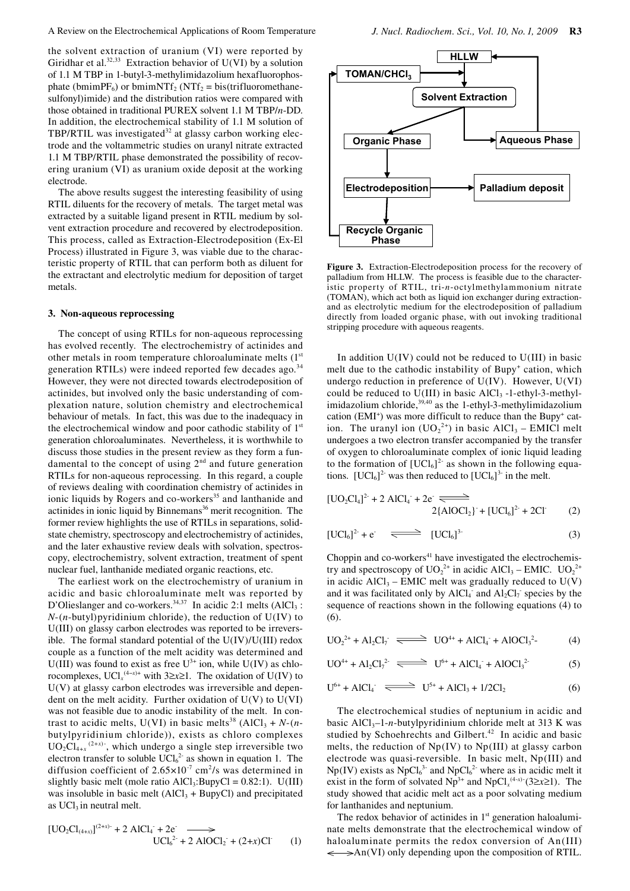the solvent extraction of uranium (VI) were reported by Giridhar et al.<sup>32,33</sup> Extraction behavior of U(VI) by a solution of 1.1 M TBP in 1-butyl-3-methylimidazolium hexafluorophosphate (bmimPF<sub>6</sub>) or bmimNTf<sub>2</sub> (NTf<sub>2</sub> = bis(trifluoromethanesulfonyl)imide) and the distribution ratios were compared with those obtained in traditional PUREX solvent 1.1 M TBP/*n*-DD. In addition, the electrochemical stability of 1.1 M solution of TBP/RTIL was investigated $32$  at glassy carbon working electrode and the voltammetric studies on uranyl nitrate extracted 1.1 M TBP/RTIL phase demonstrated the possibility of recovering uranium (VI) as uranium oxide deposit at the working electrode.

The above results suggest the interesting feasibility of using RTIL diluents for the recovery of metals. The target metal was extracted by a suitable ligand present in RTIL medium by solvent extraction procedure and recovered by electrodeposition. This process, called as Extraction-Electrodeposition (Ex-El Process) illustrated in Figure 3, was viable due to the characteristic property of RTIL that can perform both as diluent for the extractant and electrolytic medium for deposition of target metals.

#### **3. Non-aqueous reprocessing**

The concept of using RTILs for non-aqueous reprocessing has evolved recently. The electrochemistry of actinides and other metals in room temperature chloroaluminate melts (1st generation RTILs) were indeed reported few decades ago.<sup>34</sup> However, they were not directed towards electrodeposition of actinides, but involved only the basic understanding of complexation nature, solution chemistry and electrochemical behaviour of metals. In fact, this was due to the inadequacy in the electrochemical window and poor cathodic stability of  $1<sup>st</sup>$ generation chloroaluminates. Nevertheless, it is worthwhile to discuss those studies in the present review as they form a fundamental to the concept of using 2<sup>nd</sup> and future generation RTILs for non-aqueous reprocessing. In this regard, a couple of reviews dealing with coordination chemistry of actinides in ionic liquids by Rogers and co-workers<sup>35</sup> and lanthanide and actinides in ionic liquid by Binnemans<sup>36</sup> merit recognition. The former review highlights the use of RTILs in separations, solidstate chemistry, spectroscopy and electrochemistry of actinides, and the later exhaustive review deals with solvation, spectroscopy, electrochemistry, solvent extraction, treatment of spent nuclear fuel, lanthanide mediated organic reactions, etc.

The earliest work on the electrochemistry of uranium in acidic and basic chloroaluminate melt was reported by D'Olieslanger and co-workers. $34,37$  In acidic 2:1 melts (AlCl<sub>3</sub> : *N*-(*n*-butyl)pyridinium chloride), the reduction of U(IV) to U(III) on glassy carbon electrodes was reported to be irreversible. The formal standard potential of the U(IV)/U(III) redox couple as a function of the melt acidity was determined and U(III) was found to exist as free  $U^{3+}$  ion, while U(IV) as chlorocomplexes, UCl<sub>*x*</sub><sup>(4-*x*)+</sup> with 3≥*x*≥1. The oxidation of U(IV) to  $U(V)$  at glassy carbon electrodes was irreversible and dependent on the melt acidity. Further oxidation of  $U(V)$  to  $U(VI)$ was not feasible due to anodic instability of the melt. In contrast to acidic melts, U(VI) in basic melts<sup>38</sup> (AlCl<sub>3</sub> + *N*-(*n*butylpyridinium chloride)), exists as chloro complexes  $UO_2Cl_{4+x}$ <sup>(2+x)-</sup>, which undergo a single step irreversible two electron transfer to soluble  $\text{UCl}_6^2$  as shown in equation 1. The diffusion coefficient of  $2.65 \times 10^{-7}$  cm<sup>2</sup>/s was determined in slightly basic melt (mole ratio  $AICI_3$ :BupyCl = 0.82:1). U(III) was insoluble in basic melt  $(AICI<sub>3</sub> + BupyCl)$  and precipitated as  $UCl<sub>3</sub>$  in neutral melt.

$$
[UO_2Cl_{(4+x)}]^{(2+x)-} + 2 AICl_4 + 2e \longrightarrow
$$
  
\n
$$
UCl_6^{2} + 2 AIOCl_2 + (2+x)Cl \qquad (1)
$$



**Figure 3.** Extraction-Electrodeposition process for the recovery of palladium from HLLW. The process is feasible due to the characteristic property of RTIL, tri-*n*-octylmethylammonium nitrate (TOMAN), which act both as liquid ion exchanger during extractionand as electrolytic medium for the electrodeposition of palladium directly from loaded organic phase, with out invoking traditional stripping procedure with aqueous reagents.

In addition  $U(IV)$  could not be reduced to  $U(III)$  in basic melt due to the cathodic instability of Bupy<sup>+</sup> cation, which undergo reduction in preference of U(IV). However, U(VI) could be reduced to  $U(III)$  in basic AlCl<sub>3</sub> -1-ethyl-3-methylimidazolium chloride,<sup>39,40</sup> as the 1-ethyl-3-methylimidazolium cation (EMI<sup>+</sup>) was more difficult to reduce than the Bupy<sup>+</sup> cation. The uranyl ion  $(UO_2^{2+})$  in basic AlCl<sub>3</sub> – EMICl melt undergoes a two electron transfer accompanied by the transfer of oxygen to chloroaluminate complex of ionic liquid leading to the formation of  $[UCl_6]^2$  as shown in the following equations.  $[UCl_6]^2$  was then reduced to  $[UCl_6]^3$  in the melt.

$$
[UO_2Cl_4]^2 + 2 AICl_4 + 2e \xrightarrow{2\{AIOCl_2\}} + [UCl_6]^2 + 2Cl \tag{2}
$$

$$
[UCl_6]^2 + e^- \xrightarrow{\longleftarrow} [UCl_6]^3
$$
 (3)

Choppin and  $\cos$ -workers<sup>41</sup> have investigated the electrochemistry and spectroscopy of  $UO_2^{2+}$  in acidic AlCl<sub>3</sub> – EMIC.  $UO_2^{2+}$ in acidic  $AICI_3$  – EMIC melt was gradually reduced to  $U(V)$ and it was facilitated only by  $AICl<sub>4</sub>$  and  $Al<sub>2</sub>Cl<sub>7</sub>$  species by the sequence of reactions shown in the following equations (4) to (6).

$$
UO_2^{2+} + Al_2Cl_7 \xrightarrow{\longleftarrow} UO^{4+} + AlCl_4 + AlCl_3^{2-} \tag{4}
$$

$$
UO^{4+} + Al_2Cl_7^{2-} \xrightarrow{\text{mod } U^{6+} + AlCl_4^- + AlOCl_3^{2-}} (5)
$$

$$
U^{6+} + AICl_4 \implies U^{5+} + AICl_3 + 1/2Cl_2 \tag{6}
$$

The electrochemical studies of neptunium in acidic and basic  $AICI_3-1-n$ -butylpyridinium chloride melt at 313 K was studied by Schoehrechts and Gilbert.<sup>42</sup> In acidic and basic melts, the reduction of Np(IV) to Np(III) at glassy carbon electrode was quasi-reversible. In basic melt, Np(III) and  $Np(IV)$  exists as  $NpCl<sub>6</sub><sup>3-</sup>$  and  $NpCl<sub>6</sub><sup>2-</sup>$  where as in acidic melt it exist in the form of solvated  $Np^{3+}$  and  $NpCl<sub>x</sub><sup>(4-x)</sup>(3\geq x\geq 1)$ . The study showed that acidic melt act as a poor solvating medium for lanthanides and neptunium.

The redox behavior of actinides in  $1<sup>st</sup>$  generation haloaluminate melts demonstrate that the electrochemical window of haloaluminate permits the redox conversion of An(III)  $\Rightarrow$ An(VI) only depending upon the composition of RTIL.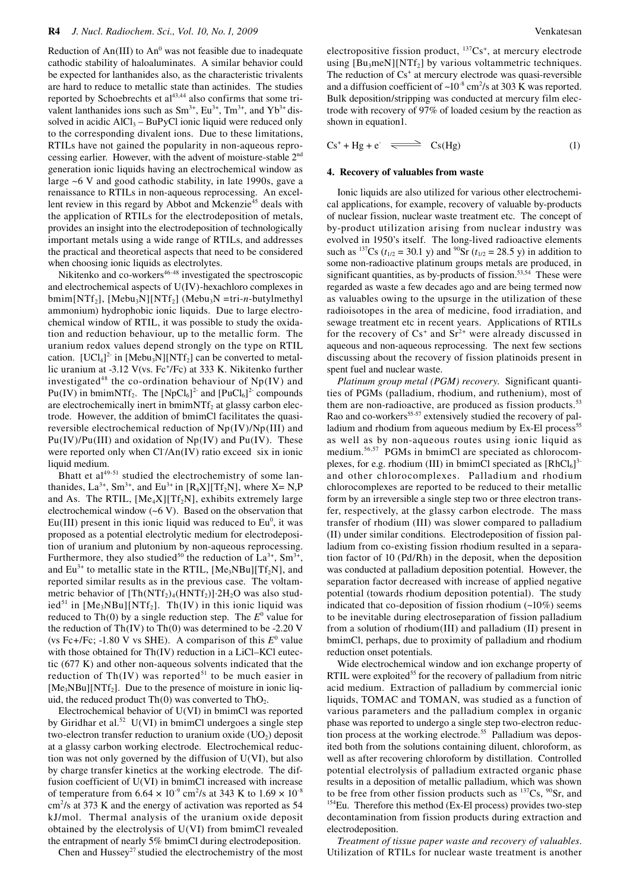Reduction of  $An(III)$  to  $An^0$  was not feasible due to inadequate cathodic stability of haloaluminates. A similar behavior could be expected for lanthanides also, as the characteristic trivalents are hard to reduce to metallic state than actinides. The studies reported by Schoebrechts et al<sup>43,44</sup> also confirms that some trivalent lanthanides ions such as  $Sm^{3+}$ ,  $Eu^{3+}$ ,  $Tm^{3+}$ , and  $Yb^{3+}$  dissolved in acidic  $AICI_3 - BuPyCl$  ionic liquid were reduced only to the corresponding divalent ions. Due to these limitations, RTILs have not gained the popularity in non-aqueous reprocessing earlier. However, with the advent of moisture-stable 2nd generation ionic liquids having an electrochemical window as large  $\sim$  6 V and good cathodic stability, in late 1990s, gave a renaissance to RTILs in non-aqueous reprocessing. An excellent review in this regard by Abbot and Mckenzie<sup>45</sup> deals with the application of RTILs for the electrodeposition of metals, provides an insight into the electrodeposition of technologically important metals using a wide range of RTILs, and addresses the practical and theoretical aspects that need to be considered when choosing ionic liquids as electrolytes.

Nikitenko and co-workers<sup>46-48</sup> investigated the spectroscopic and electrochemical aspects of U(IV)-hexachloro complexes in  $bmin[NTf_2]$ , [Mebu<sub>3</sub>N][NTf<sub>2</sub>] (Mebu<sub>3</sub>N =tri-*n*-butylmethyl ammonium) hydrophobic ionic liquids. Due to large electrochemical window of RTIL, it was possible to study the oxidation and reduction behaviour, up to the metallic form. The uranium redox values depend strongly on the type on RTIL cation.  $[UCl_4]^2$  in  $[Mebu_3N][NTf_2]$  can be converted to metallic uranium at -3.12 V(vs. Fc<sup>+</sup>/Fc) at 333 K. Nikitenko further investigated<sup>48</sup> the co-ordination behaviour of  $Np(IV)$  and  $Pu(IV)$  in bmimNTf<sub>2</sub>. The  $[NpCl_6]^2$  and  $[PuCl_6]^2$  compounds are electrochemically inert in bmimNTf<sub>2</sub> at glassy carbon electrode. However, the addition of bmimCl facilitates the quasireversible electrochemical reduction of Np(IV)/Np(III) and  $Pu(IV)/Pu(III)$  and oxidation of  $Np(IV)$  and  $Pu(IV)$ . These were reported only when Cl /An(IV) ratio exceed six in ionic liquid medium.

Bhatt et  $al^{49-51}$  studied the electrochemistry of some lanthanides,  $La^{3+}$ , Sm<sup>3+</sup>, and Eu<sup>3+</sup> in [R<sub>4</sub>X][Tf<sub>2</sub>N], where X= N,P and As. The RTIL,  $[Me<sub>4</sub>X][Tf<sub>2</sub>N]$ , exhibits extremely large electrochemical window  $(-6 V)$ . Based on the observation that  $Eu(III)$  present in this ionic liquid was reduced to  $Eu<sup>0</sup>$ , it was proposed as a potential electrolytic medium for electrodeposition of uranium and plutonium by non-aqueous reprocessing. Furthermore, they also studied<sup>50</sup> the reduction of  $La^{3+}$ , Sm<sup>3</sup> and  $Eu^{3+}$  to metallic state in the RTIL, [Me<sub>3</sub>NBu][Tf<sub>2</sub>N], and reported similar results as in the previous case. The voltammetric behavior of  $[Th(NTf<sub>2</sub>)<sub>4</sub>(HNTf<sub>2</sub>)]·2H<sub>2</sub>O$  was also studied<sup>51</sup> in [Me<sub>3</sub>NBu][NTf<sub>2</sub>]. Th(IV) in this ionic liquid was reduced to  $\text{Th}(0)$  by a single reduction step. The  $E^0$  value for the reduction of  $Th(IV)$  to  $Th(0)$  was determined to be -2.20 V (vs Fc+/Fc; -1.80 V vs SHE). A comparison of this  $E^0$  value with those obtained for Th(IV) reduction in a LiCl–KCl eutectic (677 K) and other non-aqueous solvents indicated that the reduction of Th(IV) was reported<sup>51</sup> to be much easier in  $[Me<sub>3</sub>NBu][NTf<sub>2</sub>]$ . Due to the presence of moisture in ionic liquid, the reduced product  $\text{Th}(0)$  was converted to  $\text{ThO}_2$ .

Electrochemical behavior of U(VI) in bmimCl was reported by Giridhar et al.<sup>52</sup> U(VI) in bmimCl undergoes a single step two-electron transfer reduction to uranium oxide  $(UO<sub>2</sub>)$  deposit at a glassy carbon working electrode. Electrochemical reduction was not only governed by the diffusion of U(VI), but also by charge transfer kinetics at the working electrode. The diffusion coefficient of U(VI) in bmimCl increased with increase of temperature from  $6.64 \times 10^{-9}$  cm<sup>2</sup>/s at 343 K to  $1.69 \times 10^{-8}$ cm<sup>2</sup>/s at 373 K and the energy of activation was reported as 54 kJ/mol. Thermal analysis of the uranium oxide deposit obtained by the electrolysis of U(VI) from bmimCl revealed the entrapment of nearly 5% bmimCl during electrodeposition.

Chen and Hussey<sup>27</sup> studied the electrochemistry of the most

electropositive fission product,  $^{137}Cs^+$ , at mercury electrode using  $[Bu_3meN][NTf_2]$  by various voltammetric techniques. The reduction of  $Cs^+$  at mercury electrode was quasi-reversible and a diffusion coefficient of  $\sim 10^{-8}$  cm<sup>2</sup>/s at 303 K was reported. Bulk deposition/stripping was conducted at mercury film electrode with recovery of 97% of loaded cesium by the reaction as shown in equation1.

$$
Cs^{+} + Hg + e^{-} \implies Cs(Hg) \tag{1}
$$

#### **4. Recovery of valuables from waste**

Ionic liquids are also utilized for various other electrochemical applications, for example, recovery of valuable by-products of nuclear fission, nuclear waste treatment etc. The concept of by-product utilization arising from nuclear industry was evolved in 1950's itself. The long-lived radioactive elements such as <sup>137</sup>Cs ( $t_{1/2}$  = 30.1 y) and <sup>90</sup>Sr ( $t_{1/2}$  = 28.5 y) in addition to some non-radioactive platinum groups metals are produced, in significant quantities, as by-products of fission.<sup>53,54</sup> These were regarded as waste a few decades ago and are being termed now as valuables owing to the upsurge in the utilization of these radioisotopes in the area of medicine, food irradiation, and sewage treatment etc in recent years. Applications of RTILs for the recovery of  $Cs^+$  and  $Sr^{2+}$  were already discussed in aqueous and non-aqueous reprocessing. The next few sections discussing about the recovery of fission platinoids present in spent fuel and nuclear waste.

*Platinum group metal (PGM) recovery*. Significant quantities of PGMs (palladium, rhodium, and ruthenium), most of them are non-radioactive, are produced as fission products.<sup>53</sup> Rao and co-workers<sup>55-57</sup> extensively studied the recovery of palladium and rhodium from aqueous medium by Ex-El process<sup>55</sup> as well as by non-aqueous routes using ionic liquid as medium.56,57 PGMs in bmimCl are speciated as chlorocomplexes, for e.g. rhodium (III) in bmimCl speciated as  $[RhCl_6]^3$ and other chlorocomplexes. Palladium and rhodium chlorocomplexes are reported to be reduced to their metallic form by an irreversible a single step two or three electron transfer, respectively, at the glassy carbon electrode. The mass transfer of rhodium (III) was slower compared to palladium (II) under similar conditions. Electrodeposition of fission palladium from co-existing fission rhodium resulted in a separation factor of 10 (Pd/Rh) in the deposit, when the deposition was conducted at palladium deposition potential. However, the separation factor decreased with increase of applied negative potential (towards rhodium deposition potential). The study indicated that co-deposition of fission rhodium  $(-10\%)$  seems to be inevitable during electroseparation of fission palladium from a solution of rhodium(III) and palladium (II) present in bmimCl, perhaps, due to proximity of palladium and rhodium reduction onset potentials.

Wide electrochemical window and ion exchange property of RTIL were exploited<sup>55</sup> for the recovery of palladium from nitric acid medium. Extraction of palladium by commercial ionic liquids, TOMAC and TOMAN, was studied as a function of various parameters and the palladium complex in organic phase was reported to undergo a single step two-electron reduction process at the working electrode.<sup>55</sup> Palladium was deposited both from the solutions containing diluent, chloroform, as well as after recovering chloroform by distillation. Controlled potential electrolysis of palladium extracted organic phase results in a deposition of metallic palladium, which was shown to be free from other fission products such as  $137Cs$ ,  $90Sr$ , and  $154Eu$ . Therefore this method (Ex-El process) provides two-step decontamination from fission products during extraction and electrodeposition.

*Treatment of tissue paper waste and recovery of valuables*. Utilization of RTILs for nuclear waste treatment is another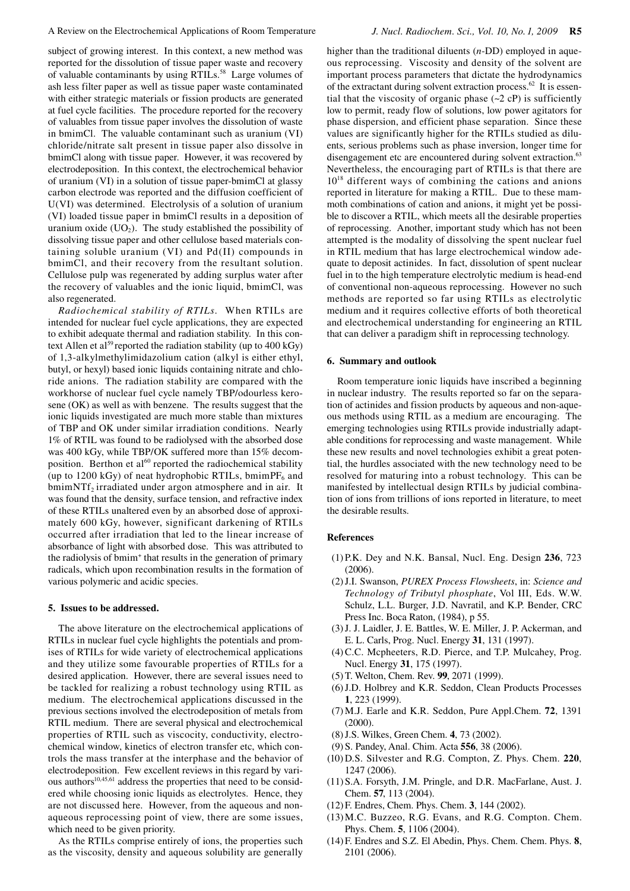subject of growing interest. In this context, a new method was reported for the dissolution of tissue paper waste and recovery of valuable contaminants by using RTILs.<sup>58</sup> Large volumes of ash less filter paper as well as tissue paper waste contaminated with either strategic materials or fission products are generated at fuel cycle facilities. The procedure reported for the recovery of valuables from tissue paper involves the dissolution of waste in bmimCl. The valuable contaminant such as uranium (VI) chloride/nitrate salt present in tissue paper also dissolve in bmimCl along with tissue paper. However, it was recovered by electrodeposition. In this context, the electrochemical behavior of uranium (VI) in a solution of tissue paper-bmimCl at glassy carbon electrode was reported and the diffusion coefficient of U(VI) was determined. Electrolysis of a solution of uranium (VI) loaded tissue paper in bmimCl results in a deposition of uranium oxide  $(UO<sub>2</sub>)$ . The study established the possibility of dissolving tissue paper and other cellulose based materials containing soluble uranium (VI) and Pd(II) compounds in bmimCl, and their recovery from the resultant solution. Cellulose pulp was regenerated by adding surplus water after the recovery of valuables and the ionic liquid, bmimCl, was also regenerated.

*Radiochemical stability of RTILs*. When RTILs are intended for nuclear fuel cycle applications, they are expected to exhibit adequate thermal and radiation stability. In this context Allen et al<sup>59</sup> reported the radiation stability (up to  $400 \text{ kGy}$ ) of 1,3-alkylmethylimidazolium cation (alkyl is either ethyl, butyl, or hexyl) based ionic liquids containing nitrate and chloride anions. The radiation stability are compared with the workhorse of nuclear fuel cycle namely TBP/odourless kerosene (OK) as well as with benzene. The results suggest that the ionic liquids investigated are much more stable than mixtures of TBP and OK under similar irradiation conditions. Nearly 1% of RTIL was found to be radiolysed with the absorbed dose was 400 kGy, while TBP/OK suffered more than 15% decomposition. Berthon et  $al^{60}$  reported the radiochemical stability (up to 1200 kGy) of neat hydrophobic RTILs, bmimP $F_6$  and bmimNTf<sub>2</sub> irradiated under argon atmosphere and in air. It was found that the density, surface tension, and refractive index of these RTILs unaltered even by an absorbed dose of approximately 600 kGy, however, significant darkening of RTILs occurred after irradiation that led to the linear increase of absorbance of light with absorbed dose. This was attributed to the radiolysis of bmim<sup>+</sup> that results in the generation of primary radicals, which upon recombination results in the formation of various polymeric and acidic species.

## **5. Issues to be addressed.**

The above literature on the electrochemical applications of RTILs in nuclear fuel cycle highlights the potentials and promises of RTILs for wide variety of electrochemical applications and they utilize some favourable properties of RTILs for a desired application. However, there are several issues need to be tackled for realizing a robust technology using RTIL as medium. The electrochemical applications discussed in the previous sections involved the electrodeposition of metals from RTIL medium. There are several physical and electrochemical properties of RTIL such as viscocity, conductivity, electrochemical window, kinetics of electron transfer etc, which controls the mass transfer at the interphase and the behavior of electrodeposition. Few excellent reviews in this regard by various authors<sup>10,45,61</sup> address the properties that need to be considered while choosing ionic liquids as electrolytes. Hence, they are not discussed here. However, from the aqueous and nonaqueous reprocessing point of view, there are some issues, which need to be given priority.

As the RTILs comprise entirely of ions, the properties such as the viscosity, density and aqueous solubility are generally higher than the traditional diluents (*n*-DD) employed in aqueous reprocessing. Viscosity and density of the solvent are important process parameters that dictate the hydrodynamics of the extractant during solvent extraction process.<sup>62</sup> It is essential that the viscosity of organic phase  $(-2 \text{ cP})$  is sufficiently low to permit, ready flow of solutions, low power agitators for phase dispersion, and efficient phase separation. Since these values are significantly higher for the RTILs studied as diluents, serious problems such as phase inversion, longer time for disengagement etc are encountered during solvent extraction.<sup>63</sup> Nevertheless, the encouraging part of RTILs is that there are  $10^{18}$  different ways of combining the cations and anions reported in literature for making a RTIL. Due to these mammoth combinations of cation and anions, it might yet be possible to discover a RTIL, which meets all the desirable properties of reprocessing. Another, important study which has not been attempted is the modality of dissolving the spent nuclear fuel in RTIL medium that has large electrochemical window adequate to deposit actinides. In fact, dissolution of spent nuclear fuel in to the high temperature electrolytic medium is head-end of conventional non-aqueous reprocessing. However no such methods are reported so far using RTILs as electrolytic medium and it requires collective efforts of both theoretical and electrochemical understanding for engineering an RTIL that can deliver a paradigm shift in reprocessing technology.

#### **6. Summary and outlook**

Room temperature ionic liquids have inscribed a beginning in nuclear industry. The results reported so far on the separation of actinides and fission products by aqueous and non-aqueous methods using RTIL as a medium are encouraging. The emerging technologies using RTILs provide industrially adaptable conditions for reprocessing and waste management. While these new results and novel technologies exhibit a great potential, the hurdles associated with the new technology need to be resolved for maturing into a robust technology. This can be manifested by intellectual design RTILs by judicial combination of ions from trillions of ions reported in literature, to meet the desirable results.

## **References**

- (1) P.K. Dey and N.K. Bansal, Nucl. Eng. Design **236**, 723 (2006).
- (2) J.I. Swanson, *PUREX Process Flowsheets*, in: *Science and Technology of Tributyl phosphate*, Vol III, Eds. W.W. Schulz, L.L. Burger, J.D. Navratil, and K.P. Bender, CRC Press Inc. Boca Raton, (1984), p 55.
- (3) J. J. Laidler, J. E. Battles, W. E. Miller, J. P. Ackerman, and E. L. Carls, Prog. Nucl. Energy **31**, 131 (1997).
- (4) C.C. Mcpheeters, R.D. Pierce, and T.P. Mulcahey, Prog. Nucl. Energy **31**, 175 (1997).
- (5) T. Welton, Chem. Rev. **99**, 2071 (1999).
- (6) J.D. Holbrey and K.R. Seddon, Clean Products Processes **1**, 223 (1999).
- (7) M.J. Earle and K.R. Seddon, Pure Appl.Chem. **72**, 1391 (2000).
- (8) J.S. Wilkes, Green Chem. **4**, 73 (2002).
- (9) S. Pandey, Anal. Chim. Acta **556**, 38 (2006).
- (10) D.S. Silvester and R.G. Compton, Z. Phys. Chem. **220**, 1247 (2006).
- (11) S.A. Forsyth, J.M. Pringle, and D.R. MacFarlane, Aust. J. Chem. **57**, 113 (2004).
- (12) F. Endres, Chem. Phys. Chem. **3**, 144 (2002).
- (13) M.C. Buzzeo, R.G. Evans, and R.G. Compton. Chem. Phys. Chem. **5**, 1106 (2004).
- (14) F. Endres and S.Z. El Abedin, Phys. Chem. Chem. Phys. **8**, 2101 (2006).